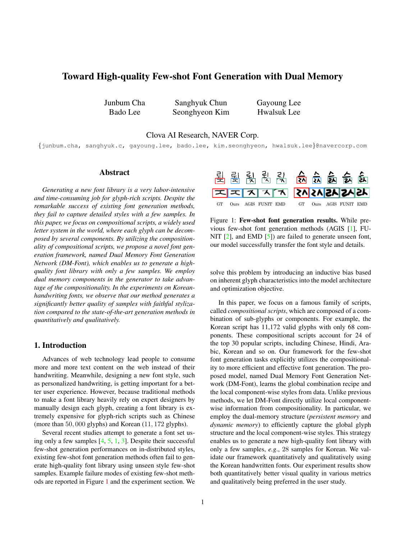# <span id="page-0-1"></span>Toward High-quality Few-shot Font Generation with Dual Memory

Junbum Cha Bado Lee

Sanghyuk Chun Seonghyeon Kim Gayoung Lee Hwalsuk Lee

Clova AI Research, NAVER Corp.

{junbum.cha, sanghyuk.c, gayoung.lee, bado.lee, kim.seonghyeon, hwalsuk.lee}@navercorp.com

### Abstract

*Generating a new font library is a very labor-intensive and time-consuming job for glyph-rich scripts. Despite the remarkable success of existing font generation methods, they fail to capture detailed styles with a few samples. In this paper, we focus on compositional scripts, a widely used letter system in the world, where each glyph can be decomposed by several components. By utilizing the compositionality of compositional scripts, we propose a novel font generation framework, named Dual Memory Font Generation Network (DM-Font), which enables us to generate a highquality font library with only a few samples. We employ dual memory components in the generator to take advantage of the compositionality. In the experiments on Koreanhandwriting fonts, we observe that our method generates a significantly better quality of samples with faithful stylization compared to the state-of-the-art generation methods in quantitatively and qualitatively.*

# 1. Introduction

Advances of web technology lead people to consume more and more text content on the web instead of their handwriting. Meanwhile, designing a new font style, such as personalized handwriting, is getting important for a better user experience. However, because traditional methods to make a font library heavily rely on expert designers by manually design each glyph, creating a font library is extremely expensive for glyph-rich scripts such as Chinese (more than 50, 000 glyphs) and Korean (11, 172 glyphs).

Several recent studies attempt to generate a font set using only a few samples  $[4, 5, 1, 3]$  $[4, 5, 1, 3]$  $[4, 5, 1, 3]$  $[4, 5, 1, 3]$  $[4, 5, 1, 3]$  $[4, 5, 1, 3]$  $[4, 5, 1, 3]$ . Despite their successful few-shot generation performances on in-distributed styles, existing few-shot font generation methods often fail to generate high-quality font library using unseen style few-shot samples. Example failure modes of existing few-shot methods are reported in Figure [1](#page-0-0) and the experiment section. We

<span id="page-0-0"></span>

Figure 1: Few-shot font generation results. While previous few-shot font generation methods (AGIS [\[1\]](#page-3-2), FU-NIT [\[2\]](#page-3-4), and EMD [\[5\]](#page-3-1)) are failed to generate unseen font, our model successfully transfer the font style and details.

solve this problem by introducing an inductive bias based on inherent glyph characteristics into the model architecture and optimization objective.

In this paper, we focus on a famous family of scripts, called *compositional scripts*, which are composed of a combination of sub-glyphs or components. For example, the Korean script has 11,172 valid glyphs with only 68 components. These compositional scripts account for 24 of the top 30 popular scripts, including Chinese, Hindi, Arabic, Korean and so on. Our framework for the few-shot font generation tasks explicitly utilizes the compositionality to more efficient and effective font generation. The proposed model, named Dual Memory Font Generation Network (DM-Font), learns the global combination recipe and the local component-wise styles from data. Unlike previous methods, we let DM-Font directly utilize local componentwise information from compositionality. In particular, we employ the dual-memory structure (*persistent memory* and *dynamic memory*) to efficiently capture the global glyph structure and the local component-wise styles. This strategy enables us to generate a new high-quality font library with only a few samples, *e.g*., 28 samples for Korean. We validate our framework quantitatively and qualitatively using the Korean handwritten fonts. Our experiment results show both quantitatively better visual quality in various metrics and qualitatively being preferred in the user study.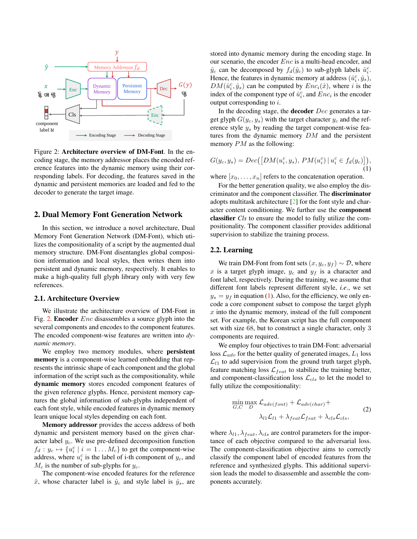<span id="page-1-2"></span><span id="page-1-0"></span>

Figure 2: Architecture overview of DM-Font. In the encoding stage, the memory addressor places the encoded reference features into the dynamic memory using their corresponding labels. For decoding, the features saved in the dynamic and persistent memories are loaded and fed to the decoder to generate the target image.

## 2. Dual Memory Font Generation Network

In this section, we introduce a novel architecture, Dual Memory Font Generation Network (DM-Font), which utilizes the compositionality of a script by the augmented dual memory structure. DM-Font disentangles global composition information and local styles, then writes them into persistent and dynamic memory, respectively. It enables to make a high-quality full glyph library only with very few references.

#### 2.1. Architecture Overview

We illustrate the architecture overview of DM-Font in Fig. [2.](#page-1-0) Encoder Enc disassembles a source glyph into the several components and encodes to the component features. The encoded component-wise features are written into *dynamic memory*.

We employ two memory modules, where persistent memory is a component-wise learned embedding that represents the intrinsic shape of each component and the global information of the script such as the compositionality, while dynamic memory stores encoded component features of the given reference glyphs. Hence, persistent memory captures the global information of sub-glyphs independent of each font style, while encoded features in dynamic memory learn unique local styles depending on each font.

Memory addressor provides the access address of both dynamic and persistent memory based on the given character label  $y_c$ . We use pre-defined decomposition function  $f_d: y_c \mapsto \{u_i^c \mid i = 1 \dots M_c\}$  to get the component-wise address, where  $u_i^c$  is the label of i-th component of  $y_c$ , and  $M_c$  is the number of sub-glyphs for  $y_c$ .

The component-wise encoded features for the reference  $\hat{x}$ , whose character label is  $\hat{y}_c$  and style label is  $\hat{y}_s$ , are

stored into dynamic memory during the encoding stage. In our scenario, the encoder Enc is a multi-head encoder, and  $\hat{y}_c$  can be decomposed by  $f_d(\hat{y}_c)$  to sub-glyph labels  $\hat{u}_i^c$ . Hence, the features in dynamic memory at address  $(\hat{u}_i^c, \hat{y}_s)$ ,  $DM(\hat{u}_i^c, \hat{y}_s)$  can be computed by  $Enc_i(\hat{x})$ , where i is the index of the component type of  $\hat{u}_i^c$ , and  $Enc_i$  is the encoder output corresponding to  $i$ .

In the decoding stage, the **decoder**  $Dec$  generates a target glyph  $G(y_c, y_s)$  with the target character  $y_c$  and the reference style  $y_s$  by reading the target component-wise features from the dynamic memory  $DM$  and the persistent memory  $PM$  as the following:

<span id="page-1-1"></span>
$$
G(y_c, y_s) = Dec([DM(u_i^c, y_s), PM(u_i^c) | u_i^c \in f_d(y_c)]),
$$
\n(1)

where  $[x_0, \ldots, x_n]$  refers to the concatenation operation.

For the better generation quality, we also employ the discriminator and the component classifier. The discriminator adopts multitask architecture [\[2\]](#page-3-4) for the font style and character content conditioning. We further use the component classifier *Cls* to ensure the model to fully utilize the compositionality. The component classifier provides additional supervision to stabilize the training process.

# 2.2. Learning

We train DM-Font from font sets  $(x, y_c, y_f) \sim \mathcal{D}$ , where x is a target glyph image,  $y_c$  and  $y_f$  is a character and font label, respectively. During the training, we assume that different font labels represent different style, *i.e*., we set  $y_s = y_f$  in equation [\(1\)](#page-1-1). Also, for the efficiency, we only encode a core component subset to compose the target glyph  $x$  into the dynamic memory, instead of the full component set. For example, the Korean script has the full component set with size 68, but to construct a single character, only 3 components are required.

We employ four objectives to train DM-Font: adversarial loss  $\mathcal{L}_{adv}$  for the better quality of generated images,  $L_1$  loss  $\mathcal{L}_{l1}$  to add supervision from the ground truth target glyph, feature matching loss  $\mathcal{L}_{feat}$  to stabilize the training better, and component-classification loss  $\mathcal{L}_{cls}$  to let the model to fully utilize the compositionality:

$$
\min_{G,C} \max_{D} \mathcal{L}_{adv(font)} + \mathcal{L}_{adv(char)} + \lambda_{dV(char)} + \lambda_{dV(1)} \mathcal{L}_{d1} + \lambda_{feat} \mathcal{L}_{feat} + \lambda_{cls} \mathcal{L}_{cls}, \tag{2}
$$

where  $\lambda_{l1}, \lambda_{feat}, \lambda_{cls}$  are control parameters for the importance of each objective compared to the adversarial loss. The component-classification objective aims to correctly classify the component label of encoded features from the reference and synthesized glyphs. This additional supervision leads the model to disassemble and assemble the components accurately.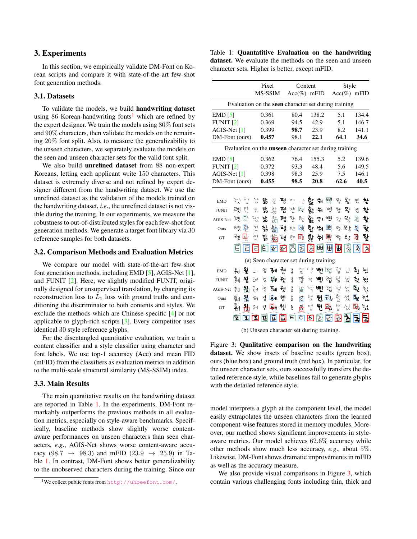# <span id="page-2-3"></span>3. Experiments

In this section, we empirically validate DM-Font on Korean scripts and compare it with state-of-the-art few-shot font generation methods.

#### 3.1. Datasets

To validate the models, we build handwriting dataset using 86 Korean-handwriting fonts<sup>[1](#page-2-0)</sup> which are refined by the expert designer. We train the models using 80% font sets and 90% characters, then validate the models on the remaining 20% font split. Also, to measure the generalizability to the unseen characters, we separately evaluate the models on the seen and unseen character sets for the valid font split.

We also build unrefined dataset from 88 non-expert Koreans, letting each applicant write 150 characters. This dataset is extremely diverse and not refined by expert designer different from the handwriting dataset. We use the unrefined dataset as the validation of the models trained on the handwriting dataset, *i.e*., the unrefined dataset is not visible during the training. In our experiments, we measure the robustness to out-of-distributed styles for each few-shot font generation methods. We generate a target font library via 30 reference samples for both datasets.

#### 3.2. Comparison Methods and Evaluation Metrics

We compare our model with state-of-the-art few-shot font generation methods, including EMD [\[5\]](#page-3-1), AGIS-Net [\[1\]](#page-3-2), and FUNIT [\[2\]](#page-3-4). Here, we slightly modified FUNIT, originally designed for unsupervised translation, by changing its reconstruction loss to  $L_1$  loss with ground truths and conditioning the discriminator to both contents and styles. We exclude the methods which are Chinese-specific [\[4\]](#page-3-0) or not applicable to glyph-rich scripts [\[3\]](#page-3-3). Every competitor uses identical 30 style reference glyphs.

For the disentangled quantitative evaluation, we train a content classifier and a style classifier using character and font labels. We use top-1 accuracy (Acc) and mean FID (mFID) from the classifiers as evaluation metrics in addition to the multi-scale structural similarity (MS-SSIM) index.

#### 3.3. Main Results

The main quantitative results on the handwriting dataset are reported in Table [1.](#page-2-1) In the experiments, DM-Font remarkably outperforms the previous methods in all evaluation metrics, especially on style-aware benchmarks. Specifically, baseline methods show slightly worse contentaware performances on unseen characters than seen characters, *e.g*., AGIS-Net shows worse content-aware accuracy (98.7  $\rightarrow$  98.3) and mFID (23.9  $\rightarrow$  25.9) in Table [1.](#page-2-1) In contrast, DM-Font shows better generalizability to the unobserved characters during the training. Since our

<span id="page-2-1"></span>Table 1: Quantatitive Evaluation on the handwriting dataset. We evaluate the methods on the seen and unseen character sets. Higher is better, except mFID.

<span id="page-2-2"></span>

|                                                               |       |     |             | Pixel            |                |   | Content |                                          |                         |       |              |                | Style               |       |       |  |
|---------------------------------------------------------------|-------|-----|-------------|------------------|----------------|---|---------|------------------------------------------|-------------------------|-------|--------------|----------------|---------------------|-------|-------|--|
|                                                               |       |     |             |                  | <b>MS-SSIM</b> |   |         | $Acc(\%)$ mFID                           |                         |       |              | $Acc(\%)$ mFID |                     |       |       |  |
| Evaluation on the seen character set during training          |       |     |             |                  |                |   |         |                                          |                         |       |              |                |                     |       |       |  |
| $EMD$ [5]                                                     |       |     |             | 0.361            |                |   |         | 80.4                                     |                         | 138.2 |              |                | 5.1                 |       | 134.4 |  |
| FUNIT $[2]$                                                   |       |     |             | 0.369            |                |   |         | 94.5                                     |                         | 42.9  |              |                | 5.1                 | 146.7 |       |  |
| $AGIS-Net[1]$                                                 |       |     |             | 0.399            |                |   |         | 98.7                                     |                         | 23.9  |              |                | 8.2                 | 141.1 |       |  |
| DM-Font (ours)                                                |       |     |             | 0.457            |                |   | 98.1    |                                          |                         | 22.1  |              | 64.1           | 34.6                |       |       |  |
| Evaluation on the <i>unseen</i> character set during training |       |     |             |                  |                |   |         |                                          |                         |       |              |                |                     |       |       |  |
| $EMD$ [5]                                                     |       |     |             | 0.362            |                |   | 76.4    |                                          |                         | 155.3 |              | 5.2            |                     | 139.6 |       |  |
| <b>FUNIT [2]</b>                                              |       |     |             | 0.372            |                |   |         | 93.3                                     |                         | 48.4  |              | 5.6            |                     | 149.5 |       |  |
| AGIS-Net [1]                                                  |       |     |             | 0.398            |                |   |         | 98.3                                     |                         | 25.9  |              | 7.5            |                     |       | 146.1 |  |
| DM-Font (ours)                                                |       |     |             | 0.455            |                |   | 98.5    |                                          |                         | 20.8  |              | 62.6           |                     | 40.5  |       |  |
|                                                               |       |     |             |                  |                |   |         |                                          |                         |       |              |                |                     |       |       |  |
| <b>EMD</b>                                                    | 计目    |     |             | 잚                | 핲              | 평 | フト      | $\mathcal{F}_{\cdot}$                    | 핥                       | 制     | 뻥            | 赀              | 맟                   | 졌     | 찾     |  |
| <b>FUNIT</b>                                                  | 곈     | Ę۲  | řч          | 잛                | 핥              |   |         | 명쟌尾                                      | 핧                       | 判     | 뼉            | 쀟              | 뫙                   | 쳤     | 찾     |  |
| AGIS-Net                                                      | 孕 타   |     | へいき         | 갊                | 黏              |   |         | 有 찬 혀 핥 쒸.                               |                         |       | 뼉            | 뷀길             | 맛                   | 刘     | 착     |  |
| Ours                                                          | 권 타   |     | 27.7        | 갛                | 萜              |   |         | 평 쟌 國 할 쒀                                |                         |       | 뺸            | 뼇              | 모点                  | 롓     | 坠     |  |
| GT                                                            | 권 回   |     | 双本          | 갋                |                |   |         | 黏펴한風襲쒸                                   |                         |       | 吗            | 벨기             | 오승                  | 母     | 찾     |  |
|                                                               |       |     | ΙE          |                  |                |   |         | 日 <mark>ある</mark> りをする                   |                         |       | $\mathbb{H}$ | 冊              | $\hat{\mathcal{R}}$ | 회     | 入     |  |
| (a) Seen character set during training.                       |       |     |             |                  |                |   |         |                                          |                         |       |              |                |                     |       |       |  |
| <b>EMD</b>                                                    | 트     | 꾕   | و ٽ         |                  |                |   | 玉       | 깥                                        | ドざ                      |       | ᄥ 간          | $\vec{E}$ +    |                     | 以 引   | 눣     |  |
| <b>FUNIT</b>                                                  | है।   | 묒   | ŌĒ          | 엇                | 풰 웬            |   | 丟       | 깥                                        | 砂                       | AĥI   | 겈.           | 턱              | ΣŻ                  | 싶     | 눴     |  |
| AGIS-Net                                                      | 훼     | 뫔   | $\bar{6}$ 4 | 엉                | 型              | 웻 | 중국      | 깥                                        | $E_{\frac{1}{2}}^{H}$   | Wļ    | 겁            | 털              | 섟                   | 쇠.    | 钆     |  |
| Ours                                                          | اانتج | 묌   | টন          | 히                | 国.             | 웻 | 吝       | 깸                                        | 립                       | ψ١    | 邔            | 털              | 섰                   | 顺     | 넋     |  |
| GT                                                            | 훼     | 吊   | টন          | 럿                | ο,             | 웬 | 乞       | 衢                                        | $E +$<br>$\overline{a}$ | ۳۱    | 团            | 텈              | 섰                   | 風気    |       |  |
|                                                               | घ     | 712 |             | $ \mathbf{\pi} $ | تت             | Д | Ε       | $\vert \boldsymbol{\varepsilon} \vert$ ह |                         |       | 2 군 2        |                |                     |       |       |  |
|                                                               |       |     |             |                  |                |   |         |                                          |                         |       |              |                |                     |       |       |  |

(b) Unseen character set during training.

Figure 3: Qualitative comparison on the handwriting dataset. We show insets of baseline results (green box), ours (blue box) and ground truth (red box). In particular, for the unseen character sets, ours successfully transfers the detailed reference style, while baselines fail to generate glyphs with the detailed reference style.

model interprets a glyph at the component level, the model easily extrapolates the unseen characters from the learned component-wise features stored in memory modules. Moreover, our method shows significant improvements in styleaware metrics. Our model achieves 62.6% accuracy while other methods show much less accuracy, *e.g*., about 5%. Likewise, DM-Font shows dramatic improvements in mFID as well as the accuracy measure.

We also provide visual comparisons in Figure [3,](#page-2-2) which contain various challenging fonts including thin, thick and

<span id="page-2-0"></span><sup>&</sup>lt;sup>1</sup>We collect public fonts from <http://uhbeefont.com/>.